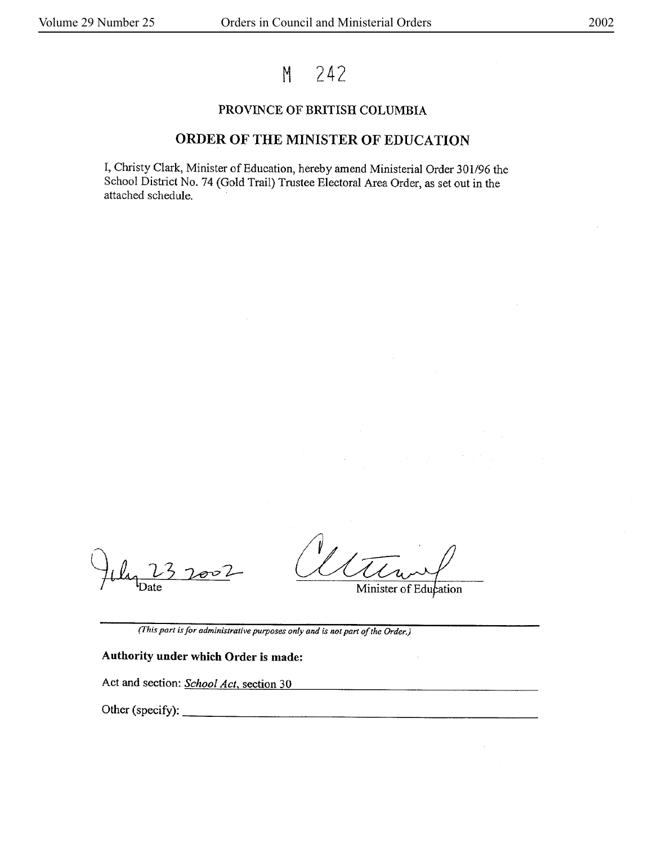# M 242

### PROVINCE OF BRITISH COLUMBIA

## ORDER OF THE MINISTER OF EDUCATION

I, Christy Clark, Minister of Education, hereby amend Ministerial Order 301/96 the School District No. 74 (Gold Trail) Trustee Electoral Area Order, as set out in the attached schedule.

ov L

Minister of Education

*(This parl* is *for administrative purposes only and* is *not part of the Order.)* 

### **Authority under which Order** is **made:**

Act and section: *School Act*, section 30

Other (specify):  $\Box$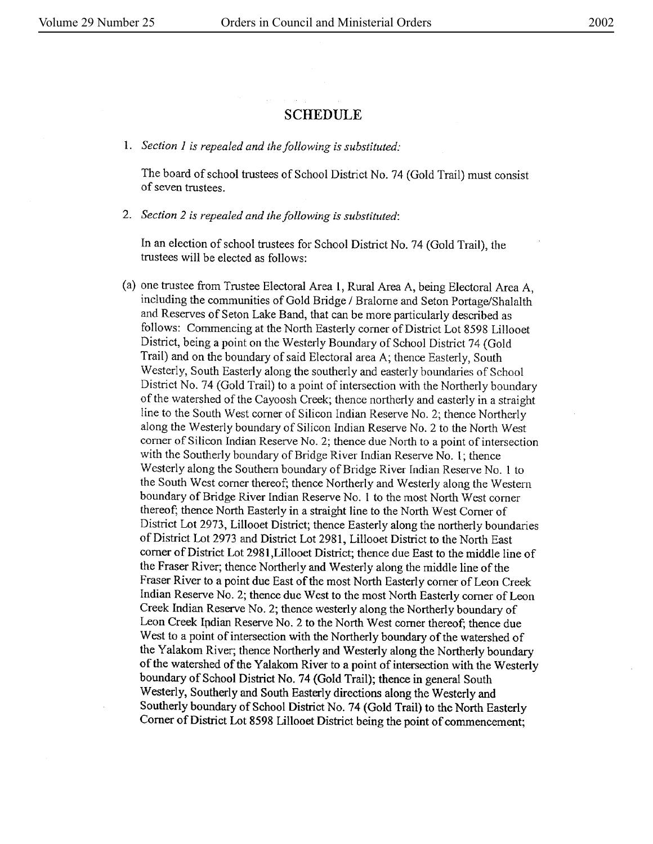## SCHEDULE

I. *Section 1 is repealed and the following is substituted:* 

The board of school trustees of School District No. 74 (Gold Trail) must consist of seven trustees.

2. *Section 2 is repealed and the following is substituted:* 

In an election of school trustees for School District No. 74 (Gold Trail), the trustees will be elected as follows:

(a) one trustee from Trustee Electoral Area 1, Rural Area A, being Electoral Arca A, including the communities of Gold Bridge/ Bralorne and Seton Portage/Shalalth and Reserves of Seton Lake Band, that can be more particularly described as follows: Commencing at the North Easterly comer of District Lot 8598 Lillooet District, being a point on the Westerly Boundary of School District 74 (Gold Trail) and on the boundary of said Electoral area A; thence Easterly, South Westerly, South Easterly along the southerly and easterly boundaries of School District No. 74 (Gold Trail) to a point of intersection with the Northerly boundary of the watershed of the Cayoosh Creek; thence northerly and easterly in a straight line to the South West comer of Silicon Indian Reserve No. 2; thence Northerly along the Westerly boundary of Silicon Indian Reserve No. 2 to the North West corner of Silicon Indian Reserve No. 2; thence due North to a point of intersection with the Southerly boundary of Bridge River Indian Reserve No. 1; thence Westerly along the Southern boundary of Bridge River Indian Reserve No. l to the South West comer thereof; thence Northerly and Westerly along the Western boundary of Bridge River Indian Reserve No. 1 to the most North West corner thereof; thence North Easterly in a straight line to the North West Corner of District Lot 2973, Lillooet District; thence Easterly along the northerly boundaries of District Lot 2973 and District Lot 2981, Lillooet District to the North East comer of District Lot 2981,Lillooet District; thence due East to the middle line of the Fraser River; thence Northerly **and** Westerly along the middle line of the Fraser River to a point due East of the most North Easterly comer of Leon Creek Indian Reserve No. 2; thence due West to the most North Easterly comer of Leon Creek Indian Reserve No. 2; thence westerly along the Northerly boundary of Leon Creek Indian Reserve No. 2 to the North West corner thereof; thence due West to a point of intersection with the Northerly boundary of the watershed of the Yalakom River; thence Northerly and Westerly along the Northerly boundary of the watershed of the Yalakom River to a point of intersection with the Westerly boundary of School District No. 74 (Gold Trail); thence in general South Westerly, Southerly and South Easterly directions along the Westerly and Southerly boundary of School District No. 74 (Gold Trail) to the North Easterly Corner of District Lot 8598 Lillooet District being the point of commencement;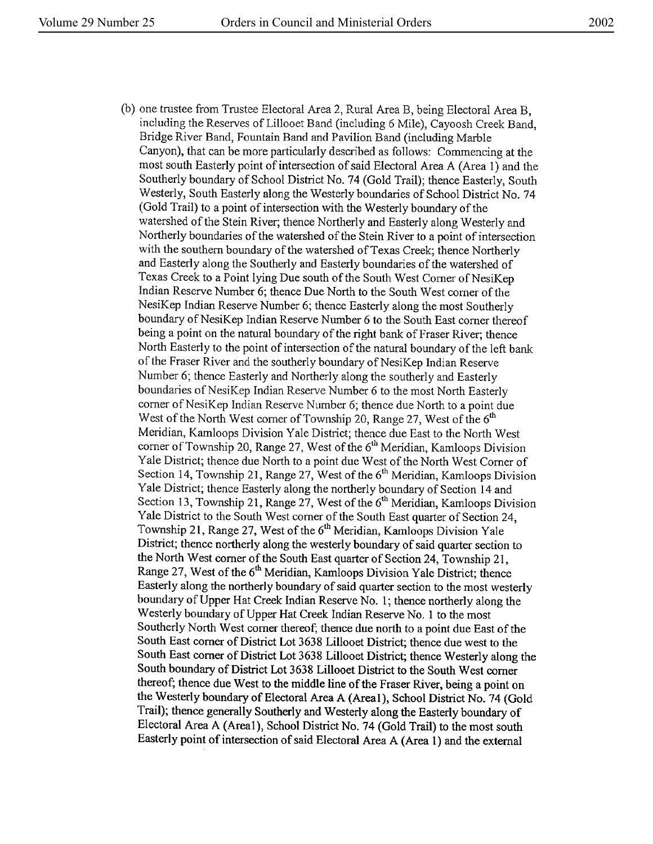(b) one trustee from Trustee Electoral Area 2, Rural Area B, being Electoral Area B, including the Reserves of Lillooet Band (including 6 Mile), Cayoosh Creek Band, Bridge River Band, Fountain Band and Pavilion Band (including Marble Canyon), that can be more particularly described as follows: Commencing at the most south Easterly point of intersection of said Electoral Area A (Area 1) and the Southerly boundary of School District No. 74 (Gold Trail); thence Easterly, South Westerly, South Easterly along the Westerly boundaries of School District No. 7 4 (Gold Trail) to a point of intersection with the Westerly boundary of the watershed of the Stein River; thence Northerly and Easterly along Westerly and Northerly boundaries of the watershed of the Stein River to a point of intersection with the southern boundary of the watershed of Texas Creek; thence Northerly and Easterly along the Southerly and Easterly boundaries of the watershed of Texas Creek to a Point lying Due south of the South West Corner of NesiKep Indian Reserve Number 6; thence Due North to the South West comer of the NesiKep Indian Reserve Number 6; thence Easterly along the most Southerly boundary of NesiKep Indian Reserve Number 6 to the South East corner thereof being a point on the natural boundary of the right bank of Fraser River; thence North Easterly to the point of intersection of the natural boundary of the left bank of the Fraser River and the southerly boundary of NesiKep Indian Reserve Number 6; thence Easterly and Northerly along the southerly and Easterly boundaries of NesiKep Indian Reserve Number 6 to the most North Easterly comer of NesiKep Indian Reserve Number 6; thence due North to a point due West of the North West corner of Township 20, Range 27, West of the  $6<sup>th</sup>$ Meridian, Kamloops Division Yale District; thence due East to the North West corner of Township 20, Range 27, West of the 6<sup>th</sup> Meridian, Kamloops Division Yale District; thence due North to a point due West of the North West Comer of Section 14, Township 21, Range 27, West of the  $6<sup>th</sup>$  Meridian, Kamloops Division Yale District; thence Easterly along the northerly boundary of Section 14 and Section 13, Township 21, Range 27, West of the  $6<sup>th</sup>$  Meridian, Kamloops Division Yale District to the South West comer of the South East quarter of Section 24, Township 21, Range 27, West of the  $6<sup>th</sup>$  Meridian, Kamloops Division Yale District; thence northerly along the westerly boundary of said quarter section to the North West comer of the South East quarter of Section 24, Township 21, Range 27, West of the 6<sup>th</sup> Meridian, Kamloops Division Yale District; thence Easterly along the northerly boundary of said quarter section to the most westerly boundary of Upper Hat Creek Indian Reserve No. 1; thence northerly along the Westerly boundary of Upper Hat Creek Indian Reserve No. 1 to the most Southerly North West comer thereof; thence due north to a point due East of the South East corner of District Lot 3638 Lillooet District; thence due west to the South East corner of District Lot 3638 Lillooet District; thence Westerly along the South boundary of District Lot 3638 Lillooet District to the South West corner thereof; thence due West to the middle line of the Fraser River, being a point on the Westerly boundary of Electoral Area A (Areal), School District No. 74 (Gold Trail); thence generally Southerly and Westerly along the Easterly boundary of Electoral Area A (Areal), School District No. 74 (Gold Trail) to the most south Easterly point of intersection of said Electoral Area A (Area 1) and the external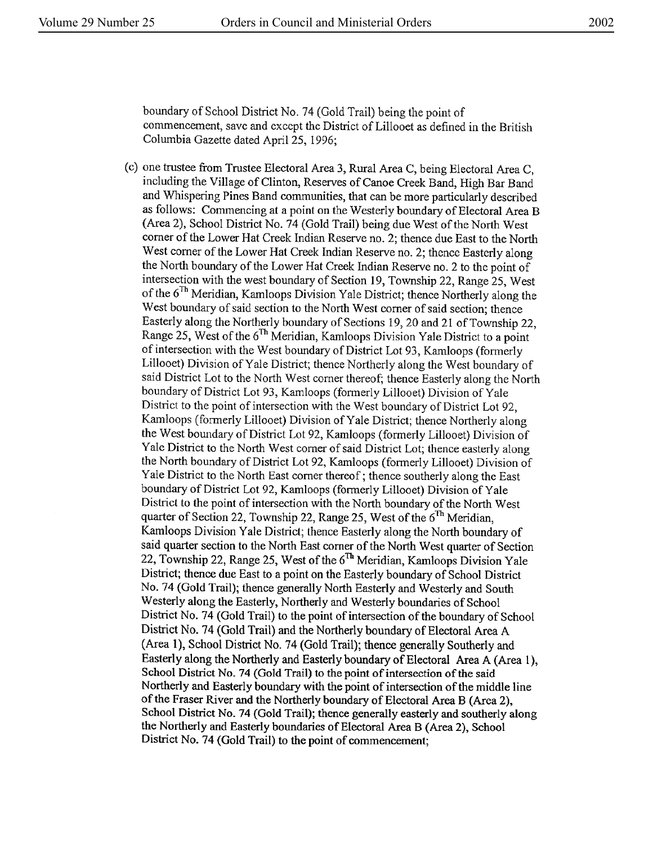boundary of School District No. 74 (Gold Trail) being the point of commencement, save and except the District of Lillooet as defined in the British Columbia Gazette dated April 25, 1996;

(c) one trustee from Trustee Electoral Area 3, Rural Area C, being Electoral Area C, including the Village of Clinton, Reserves of Canoe Creek Band, High Bar Band and Whispering Pines Band communities, that can be more particularly described as follows: Commencing at a point on the Westerly boundary of Electoral Area B (Area 2), School District No. 74 (Gold Trail) being due West of the North West comer of the Lower Hat Creek Indian Reserve no. 2; thence due East to the North West comer of the Lower Hat Creek Indian Reserve no. 2; thence Easterly along the North boundary of the Lower Hat Creek Indian Reserve no. 2 to the point of intersection with the west boundary of Section 19, Township 22, Range 25, West of the 6<sup>Th</sup> Meridian, Kamloops Division Yale District; thence Northerly along the West boundary of said section to the North West corner of said section; thence Easterly along the Northerly boundary of Sections 19, 20 and 21 of Township 22, Range 25, West of the 6<sup>Th</sup> Meridian, Kamloops Division Yale District to a point of intersection with the West boundary of District Lot 93, Kamloops (formerly Lillooet) Division of Yale District; thence Northerly along the West boundary of said District Lot to the North West comer thereof; thence Easterly along the North boundary of District Lot 93, Kamloops (formerly Lillooet) Division of Yale District to the point of intersection with the West boundary of District Lot 92, Kamloops (formerly Lillooet) Division of Yale District; thence Northerly along the West boundary of District Lot 92, Kamloops (formerly Lillooet) Division of Yale District to the North West comer of said District Lot; thence easterly along the North boundary of District Lot 92, Kamloops (formerly Lillooet) Division of Yale District to the North East corner thereof; thence southerly along the East boundary of District Lot 92, Kamloops (formerly Lillooet) Division of Yale District to the point of intersection with the North boundary of the North West quarter of Section 22, Township 22, Range 25, West of the  $6<sup>Th</sup>$  Meridian, Kamloops Division Yale District; thence Easterly along the North boundary of said quarter section to the North East comer of the North West quarter of Section 22, Township 22, Range 25, West of the  $6<sup>Th</sup>$  Meridian, Kamloops Division Yale District; thence due East to a point on the Easterly boundary of School District No. 74 (Gold Trail); thence generally North Easterly and Westerly and South Westerly along the Easterly, Northerly and Westerly boundaries of School District No. 74 (Gold Trail) to the point of intersection of the boundary of School District No. 74 (Gold Trail) and the Northerly boundary of Electoral Area A (Area 1), School District No. 74 (Gold Trail); thence generally Southerly and Easterly along the Northerly and Easterly boundary of Electoral Area A (Area 1), School District No. 74 (Gold Trail) to the point of intersection of the said Northerly and Easterly boundary with the point of intersection of the middle line of the Fraser River and the Northerly boundary of Electoral Area B (Area 2), School District No. 74 (Gold Trail); thence generally easterly and southerly along the Northerly and Easterly boundaries of Electoral Area B (Area 2), School District No. 74 (Gold Trail) to the point of commencement;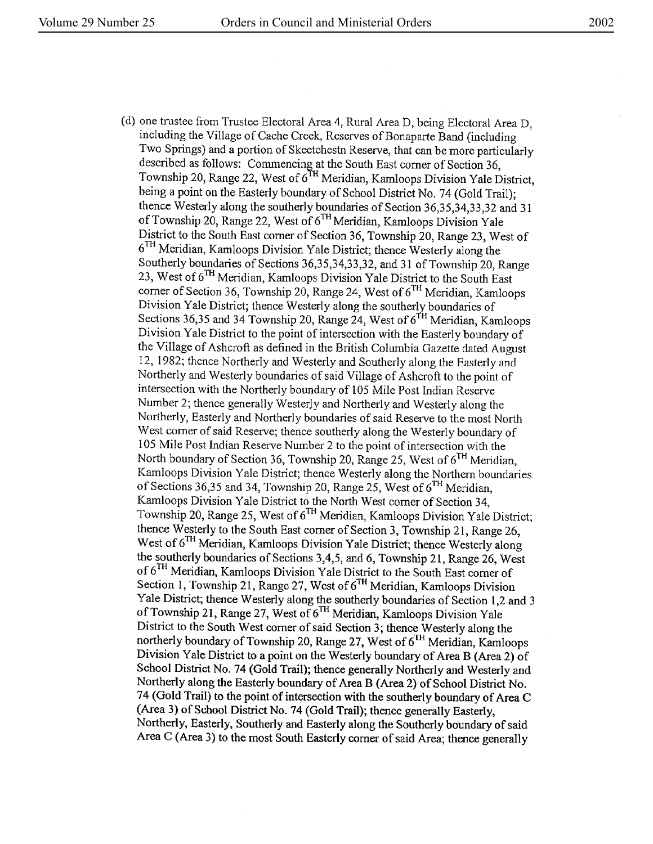(d) one trustee from Trustee Electoral Area 4, Rural Area D, being Electoral Area D, including the Village of Cache Creek, Reserves of Bonaparte Band (including Two Springs) and a portion of Skeetchestn Reserve, that can be more particularly described as follows: Commencing at the South East corner of Section 36, Township 20, Range 22, West of 6<sup>TH</sup> Meridian, Kamloops Division Yale District, being a point on the Easterly boundary of School District No. 74 (Gold Trail); thence Westerly along the southerly boundaries of Section 36,35,34,33,32 and <sup>31</sup> of Township 20, Range 22, West of  $6<sup>TH</sup>$ Meridian, Kamloops Division Yale District to the South East corner of Section 36, Township 20, Range 23, West of  $6<sup>TH</sup>$  Meridian, Kamloops Division Yale District; thence Westerly along the Southerly boundaries of Sections 36,35,34,33,32, and 31 of Township 20, Range 23, West of 6TH Meridian, Kamloops Division Yale District to the South East corner of Section 36, Township 20, Range 24, West of  $6<sup>TH</sup>$  Meridian, Kamloops Division Yale District; thence Westerly along the southerly boundaries of Sections 36,35 and 34 Township 20, Range 24, West of  $6<sup>TH</sup>$  Meridian, Kamloops Division Yale District to the point of intersection with the Easterly boundary of the Village of Ashcroft as defined in the British Columbia Gazette dated August 12, 1982; thence Northerly and Westerly and Southerly along the Easterly and Northerly and Westerly boundaries of said Village of Ashcroft to the point of intersection with the Northerly boundary of 105 Mile Post Indian Reserve Number 2; thence generally WesterJy and Northerly and Westerly along the Northerly, Easterly and Northerly boundaries of said Reserve to the most North West comer of said Reserve; thence southerly along the Westerly boundary of l 05 Mile Post Indian Reserve Number 2 to the point of intersection with the North boundary of Section 36, Township 20, Range 25, West of  $6<sup>TH</sup>$  Meridian, Karnloops Division Yale District; thence Westerly along the Northern boundaries of Sections 36,35 and 34, Township 20, Range 25, West of  $6<sup>TH</sup>$  Meridian, Kamloops Division Yale District to the North West corner of Section 34, Township 20, Range 25, West of 6 TH Meridian, Kamloops Division Yale District; thence Westerly to the South East corner of Section 3, Township 21, Range 26, West of  $6<sup>TH</sup>$  Meridian, Kamloops Division Yale District; thence Westerly along the southerly boundaries of Sections 3,4,5, and 6, Township 21, Range 26, West of 6<sup>TH</sup> Meridian, Kamloops Division Yale District to the South East corner of Section 1, Township 21, Range 27, West of  $6^{TH}$  Meridian, Kamloops Division Yale District; thence Westerly along the southerly boundaries of Section 1,2 and 3 of Township 21, Range 27, West of  $6^{TH}$  Meridian, Kamloops Division Yale District to the South West comer of said Section 3; thence Westerly along the northerly boundary of Township 20, Range 27, West of 6TH Meridian, Kamloops Division Yale District to a point on the Westerly boundary of Area B (Area 2) of School District No. 74 (Gold Trail); thence generally Northerly and Westerly and Northerly along the Easterly boundary of Area B (Area 2) of School District No. 74 (Gold Trail) to the point of intersection with the southerly boundary of Area C (Area 3) of School District No. 74 (Gold Trail); thence generally Easterly, Northerly, Easterly, Southerly and Easterly along the Southerly boundary of said Area C (Area 3) to the most South Easterly comer of said Area; thence generally